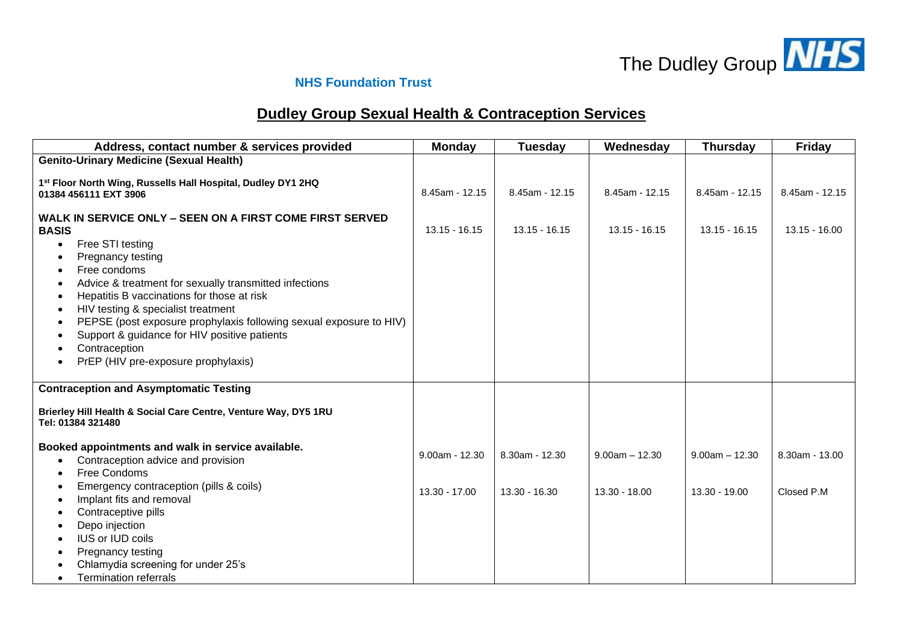

## **NHS Foundation Trust**

## **Dudley Group Sexual Health & Contraception Services**

| Address, contact number & services provided                                                                                                                                                                                                                                                                                                                                                                                                                                                                                        | <b>Monday</b>    | Tuesday         | Wednesday          | <b>Thursday</b>  | <b>Friday</b>   |
|------------------------------------------------------------------------------------------------------------------------------------------------------------------------------------------------------------------------------------------------------------------------------------------------------------------------------------------------------------------------------------------------------------------------------------------------------------------------------------------------------------------------------------|------------------|-----------------|--------------------|------------------|-----------------|
| <b>Genito-Urinary Medicine (Sexual Health)</b>                                                                                                                                                                                                                                                                                                                                                                                                                                                                                     |                  |                 |                    |                  |                 |
| 1st Floor North Wing, Russells Hall Hospital, Dudley DY1 2HQ<br>01384 456111 EXT 3906                                                                                                                                                                                                                                                                                                                                                                                                                                              | 8.45am - 12.15   | 8.45am - 12.15  | 8.45am - 12.15     | 8.45am - 12.15   | 8.45am - 12.15  |
| <b>WALK IN SERVICE ONLY – SEEN ON A FIRST COME FIRST SERVED</b><br><b>BASIS</b><br>Free STI testing<br>$\bullet$<br>Pregnancy testing<br>Free condoms<br>٠<br>Advice & treatment for sexually transmitted infections<br>٠<br>Hepatitis B vaccinations for those at risk<br>$\bullet$<br>HIV testing & specialist treatment<br>$\bullet$<br>PEPSE (post exposure prophylaxis following sexual exposure to HIV)<br>Support & guidance for HIV positive patients<br>Contraception<br>PrEP (HIV pre-exposure prophylaxis)<br>$\bullet$ | $13.15 - 16.15$  | $13.15 - 16.15$ | $13.15 - 16.15$    | $13.15 - 16.15$  | $13.15 - 16.00$ |
| <b>Contraception and Asymptomatic Testing</b>                                                                                                                                                                                                                                                                                                                                                                                                                                                                                      |                  |                 |                    |                  |                 |
| Brierley Hill Health & Social Care Centre, Venture Way, DY5 1RU<br>Tel: 01384 321480                                                                                                                                                                                                                                                                                                                                                                                                                                               |                  |                 |                    |                  |                 |
| Booked appointments and walk in service available.<br>Contraception advice and provision<br>Free Condoms                                                                                                                                                                                                                                                                                                                                                                                                                           | $9.00am - 12.30$ | 8.30am - 12.30  | $9.00$ am $-12.30$ | $9.00am - 12.30$ | 8.30am - 13.00  |
| Emergency contraception (pills & coils)<br>Implant fits and removal<br>$\bullet$<br>Contraceptive pills                                                                                                                                                                                                                                                                                                                                                                                                                            | $13.30 - 17.00$  | 13.30 - 16.30   | 13.30 - 18.00      | 13.30 - 19.00    | Closed P.M      |
| Depo injection<br><b>IUS or IUD coils</b><br>Pregnancy testing<br>Chlamydia screening for under 25's                                                                                                                                                                                                                                                                                                                                                                                                                               |                  |                 |                    |                  |                 |
| <b>Termination referrals</b><br>$\bullet$                                                                                                                                                                                                                                                                                                                                                                                                                                                                                          |                  |                 |                    |                  |                 |